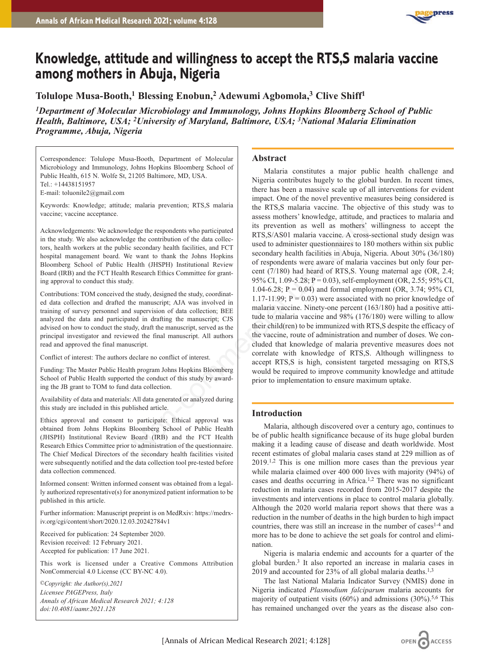

# **Knowledge, attitude and willingness to accept the RTS,S malaria vaccine among mothers in Abuja, Nigeria**

**Tolulope Musa-Booth,1 Blessing Enobun,2 Adewumi Agbomola,3 Clive Shiff1**

*1Department of Molecular Microbiology and Immunology, Johns Hopkins Bloomberg School of Public Health, Baltimore, USA; 2University of Maryland, Baltimore, USA; 3National Malaria Elimination Programme, Abuja, Nigeria*

Correspondence: Tolulope Musa-Booth, Department of Molecular Microbiology and Immunology, Johns Hopkins Bloomberg School of Public Health, 615 N. Wolfe St, 21205 Baltimore, MD, USA. Tel.: +14438151957 E-mail: toluonile2@gmail.com

Keywords: Knowledge; attitude; malaria prevention; RTS,S malaria vaccine; vaccine acceptance.

Acknowledgements: We acknowledge the respondents who participated in the study. We also acknowledge the contribution of the data collectors, health workers at the public secondary health facilities, and FCT hospital management board. We want to thank the Johns Hopkins Bloomberg School of Public Health (JHSPH) Institutional Review Board (IRB) and the FCT Health Research Ethics Committee for granting approval to conduct this study.

Contributions: TOM conceived the study, designed the study, coordinated data collection and drafted the manuscript; AJA was involved in training of survey personnel and supervision of data collection; BEE analyzed the data and participated in drafting the manuscript; CJS advised on how to conduct the study, draft the manuscript, served as the principal investigator and reviewed the final manuscript. All authors read and approved the final manuscript.

Conflict of interest: The authors declare no conflict of interest.

Funding: The Master Public Health program Johns Hopkins Bloomberg School of Public Health supported the conduct of this study by awarding the JB grant to TOM to fund data collection.

Availability of data and materials: All data generated or analyzed during this study are included in this published article.

Ethics approval and consent to participate: Ethical approval was obtained from Johns Hopkins Bloomberg School of Public Health (JHSPH) Institutional Review Board (IRB) and the FCT Health Research Ethics Committee prior to administration of the questionnaire. The Chief Medical Directors of the secondary health facilities visited were subsequently notified and the data collection tool pre-tested before data collection commenced.

Informed consent: Written informed consent was obtained from a legally authorized representative(s) for anonymized patient information to be published in this article.

Further information: Manuscript preprint is on MedRxiv: https://medrxiv.org/cgi/content/short/2020.12.03.20242784v1

Received for publication: 24 September 2020. Revision received: 12 February 2021. Accepted for publication: 17 June 2021.

This work is licensed under a Creative Commons Attribution NonCommercial 4.0 License (CC BY-NC 4.0).

*©Copyright: the Author(s),2021 Licensee PAGEPress, Italy Annals of African Medical Research 2021; 4:128 doi:10.4081/aamr.2021*.*128*

# **Abstract**

Malaria constitutes a major public health challenge and Nigeria contributes hugely to the global burden. In recent times, there has been a massive scale up of all interventions for evident impact. One of the novel preventive measures being considered is the RTS,S malaria vaccine. The objective of this study was to assess mothers' knowledge, attitude, and practices to malaria and its prevention as well as mothers' willingness to accept the RTS,S/AS01 malaria vaccine. A cross-sectional study design was used to administer questionnaires to 180 mothers within six public secondary health facilities in Abuja, Nigeria. About 30% (36/180) of respondents were aware of malaria vaccines but only four percent (7/180) had heard of RTS,S. Young maternal age (OR, 2.4; 95% CI, 1.09-5.28; P = 0.03), self-employment (OR, 2.55; 95% CI, 1.04-6.28;  $P = 0.04$ ) and formal employment (OR, 3.74; 95% CI, 1.17-11.99;  $P = 0.03$ ) were associated with no prior knowledge of malaria vaccine. Ninety-one percent (163/180) had a positive attitude to malaria vaccine and 98% (176/180) were willing to allow their child(ren) to be immunized with RTS,S despite the efficacy of the vaccine, route of administration and number of doses. We concluded that knowledge of malaria preventive measures does not correlate with knowledge of RTS,S. Although willingness to accept RTS,S is high, consistent targeted messaging on RTS,S would be required to improve community knowledge and attitude prior to implementation to ensure maximum uptake. edge the respondents who participated<br>
its prevention as well as mothers' we<br>
ge the contribution of the data collection and FCT<br>
ge the contribution of the data collection and FCT<br>
want to thank the Johns Hopkins Hopkins

# **Introduction**

Malaria, although discovered over a century ago, continues to be of public health significance because of its huge global burden making it a leading cause of disease and death worldwide. Most recent estimates of global malaria cases stand at 229 million as of  $2019<sup>1,2</sup>$  This is one million more cases than the previous year while malaria claimed over 400 000 lives with majority (94%) of cases and deaths occurring in Africa.1,2 There was no significant reduction in malaria cases recorded from 2015-2017 despite the investments and interventions in place to control malaria globally. Although the 2020 world malaria report shows that there was a reduction in the number of deaths in the high burden to high impact countries, there was still an increase in the number of cases<sup>1-4</sup> and more has to be done to achieve the set goals for control and elimination.

Nigeria is malaria endemic and accounts for a quarter of the global burden.3 It also reported an increase in malaria cases in 2019 and accounted for 23% of all global malaria deaths.<sup>1,3</sup>

The last National Malaria Indicator Survey (NMIS) done in Nigeria indicated *Plasmodium falciparum* malaria accounts for majority of outpatient visits  $(60\%)$  and admissions  $(30\%)$ .<sup>5,6</sup> This has remained unchanged over the years as the disease also con-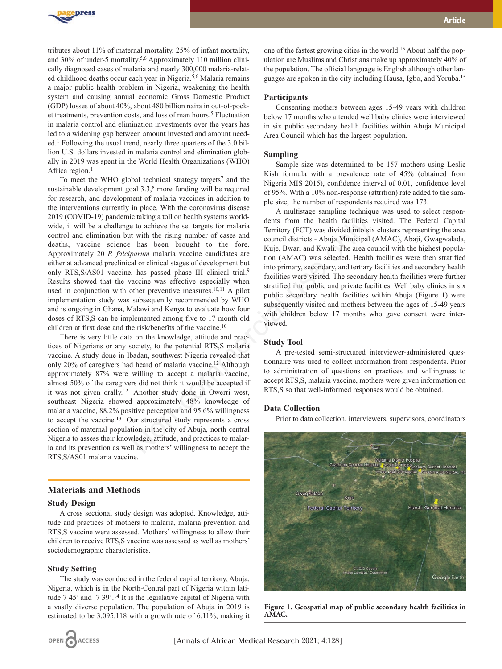

tributes about 11% of maternal mortality, 25% of infant mortality, and 30% of under-5 mortality.5,6 Approximately 110 million clinically diagnosed cases of malaria and nearly 300,000 malaria-related childhood deaths occur each year in Nigeria.5,6 Malaria remains a major public health problem in Nigeria, weakening the health system and causing annual economic Gross Domestic Product (GDP) losses of about 40%, about 480 billion naira in out-of-pocket treatments, prevention costs, and loss of man hours.<sup>5</sup> Fluctuation in malaria control and elimination investments over the years has led to a widening gap between amount invested and amount needed.1 Following the usual trend, nearly three quarters of the 3.0 billion U.S. dollars invested in malaria control and elimination globally in 2019 was spent in the World Health Organizations (WHO) Africa region.<sup>1</sup>

To meet the WHO global technical strategy targets<sup>7</sup> and the sustainable development goal 3.3,<sup>8</sup> more funding will be required for research, and development of malaria vaccines in addition to the interventions currently in place. With the coronavirus disease 2019 (COVID-19) pandemic taking a toll on health systems worldwide, it will be a challenge to achieve the set targets for malaria control and elimination but with the rising number of cases and deaths, vaccine science has been brought to the fore. Approximately 20 *P. falciparum* malaria vaccine candidates are either at advanced preclinical or clinical stages of development but only RTS, S/AS01 vaccine, has passed phase III clinical trial.<sup>9</sup> Results showed that the vaccine was effective especially when used in conjunction with other preventive measures.<sup>10,11</sup> A pilot implementation study was subsequently recommended by WHO and is ongoing in Ghana, Malawi and Kenya to evaluate how four doses of RTS,S can be implemented among five to 17 month old children at first dose and the risk/benefits of the vaccine.10

There is very little data on the knowledge, attitude and practices of Nigerians or any society, to the potential RTS,S malaria vaccine. A study done in Ibadan, southwest Nigeria revealed that only 20% of caregivers had heard of malaria vaccine.12 Although approximately 87% were willing to accept a malaria vaccine, almost 50% of the caregivers did not think it would be accepted if it was not given orally.12 Another study done in Owerri west, southeast Nigeria showed approximately 48% knowledge of malaria vaccine, 88.2% positive perception and 95.6% willingness to accept the vaccine.13 Our structured study represents a cross section of maternal population in the city of Abuja, north central Nigeria to assess their knowledge, attitude, and practices to malaria and its prevention as well as mothers' willingness to accept the RTS,S/AS01 malaria vaccine. Let a simulate a strong and the stational systems would be a chieve the set targets for malaria concincil districts - Abuja Municipal (<br>to achieve the set targets for malaria concincil districts - Abuja Municipal (<br>has be

# **Materials and Methods**

# **Study Design**

A cross sectional study design was adopted. Knowledge, attitude and practices of mothers to malaria, malaria prevention and RTS,S vaccine were assessed. Mothers' willingness to allow their children to receive RTS,S vaccine was assessed as well as mothers' sociodemographic characteristics.

# **Study Setting**

The study was conducted in the federal capital territory, Abuja, Nigeria, which is in the North-Central part of Nigeria within latitude 7 45' and 7 39'.<sup>14</sup> It is the legislative capital of Nigeria with a vastly diverse population. The population of Abuja in 2019 is estimated to be 3,095,118 with a growth rate of 6.11%, making it

one of the fastest growing cities in the world.15 About half the population are Muslims and Christians make up approximately 40% of the population. The official language is English although other languages are spoken in the city including Hausa, Igbo, and Yoruba.15

#### **Participants**

Consenting mothers between ages 15-49 years with children below 17 months who attended well baby clinics were interviewed in six public secondary health facilities within Abuja Municipal Area Council which has the largest population.

# **Sampling**

Sample size was determined to be 157 mothers using Leslie Kish formula with a prevalence rate of 45% (obtained from Nigeria MIS 2015), confidence interval of 0.01, confidence level of 95%. With a 10% non-response (attrition) rate added to the sample size, the number of respondents required was 173.

A multistage sampling technique was used to select respondents from the health facilities visited. The Federal Capital Territory (FCT) was divided into six clusters representing the area council districts - Abuja Municipal (AMAC), Abaji, Gwagwalada, Kuje, Bwari and Kwali. The area council with the highest population (AMAC) was selected. Health facilities were then stratified into primary, secondary, and tertiary facilities and secondary health facilities were visited. The secondary health facilities were further stratified into public and private facilities. Well baby clinics in six public secondary health facilities within Abuja (Figure 1) were subsequently visited and mothers between the ages of 15-49 years with children below 17 months who gave consent were interviewed.

# **Study Tool**

A pre-tested semi-structured interviewer-administered questionnaire was used to collect information from respondents. Prior to administration of questions on practices and willingness to accept RTS,S, malaria vaccine, mothers were given information on RTS,S so that well-informed responses would be obtained.

## **Data Collection**

Prior to data collection, interviewers, supervisors, coordinators



**Figure 1. Geospatial map of public secondary health facilities in AMAC.**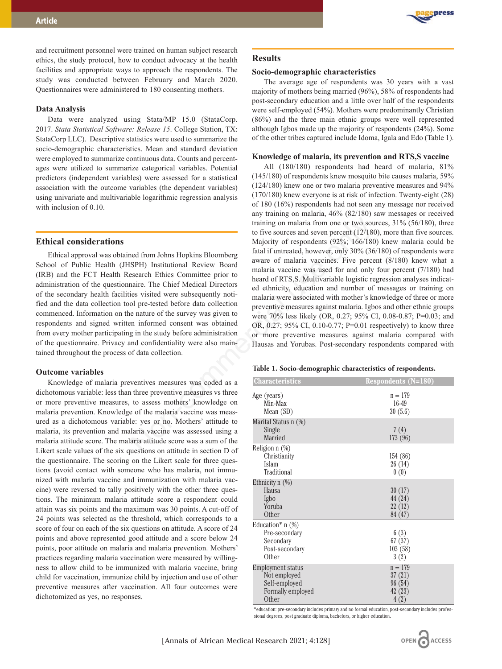and recruitment personnel were trained on human subject research ethics, the study protocol, how to conduct advocacy at the health facilities and appropriate ways to approach the respondents. The study was conducted between February and March 2020. Questionnaires were administered to 180 consenting mothers.

#### **Data Analysis**

Data were analyzed using Stata/MP 15.0 (StataCorp. 2017. *Stata Statistical Software: Release 15*. College Station, TX: StataCorp LLC). Descriptive statistics were used to summarize the socio-demographic characteristics. Mean and standard deviation were employed to summarize continuous data. Counts and percentages were utilized to summarize categorical variables. Potential predictors (independent variables) were assessed for a statistical association with the outcome variables (the dependent variables) using univariate and multivariable logarithmic regression analysis with inclusion of 0.10.

# **Ethical considerations**

Ethical approval was obtained from Johns Hopkins Bloomberg School of Public Health (JHSPH) Institutional Review Board (IRB) and the FCT Health Research Ethics Committee prior to administration of the questionnaire. The Chief Medical Directors of the secondary health facilities visited were subsequently notified and the data collection tool pre-tested before data collection commenced. Information on the nature of the survey was given to respondents and signed written informed consent was obtained from every mother participating in the study before administration of the questionnaire. Privacy and confidentiality were also maintained throughout the process of data collection.

#### **Outcome variables**

Knowledge of malaria preventives measures was coded as a dichotomous variable: less than three preventive measures vs three or more preventive measures, to assess mothers' knowledge on malaria prevention. Knowledge of the malaria vaccine was measured as a dichotomous variable: yes or no. Mothers' attitude to malaria, its prevention and malaria vaccine was assessed using a malaria attitude score. The malaria attitude score was a sum of the Likert scale values of the six questions on attitude in section D of the questionnaire. The scoring on the Likert scale for three questions (avoid contact with someone who has malaria, not immunized with malaria vaccine and immunization with malaria vaccine) were reversed to tally positively with the other three questions. The minimum malaria attitude score a respondent could attain was six points and the maximum was 30 points. A cut-off of 24 points was selected as the threshold, which corresponds to a score of four on each of the six questions on attitude. A score of 24 points and above represented good attitude and a score below 24 points, poor attitude on malaria and malaria prevention. Mothers' practices regarding malaria vaccination were measured by willingness to allow child to be immunized with malaria vaccine, bring child for vaccination, immunize child by injection and use of other preventive measures after vaccination. All four outcomes were dichotomized as yes, no responses.



#### **Results**

### **Socio-demographic characteristics**

The average age of respondents was 30 years with a vast majority of mothers being married (96%), 58% of respondents had post-secondary education and a little over half of the respondents were self-employed (54%). Mothers were predominantly Christian (86%) and the three main ethnic groups were well represented although Igbos made up the majority of respondents (24%). Some of the other tribes captured include Idoma, Igala and Edo (Table 1).

#### **Knowledge of malaria, its prevention and RTS,S vaccine**

All (180/180) respondents had heard of malaria, 81% (145/180) of respondents knew mosquito bite causes malaria, 59% (124/180) knew one or two malaria preventive measures and 94% (170/180) knew everyone is at risk of infection. Twenty-eight (28) of 180 (16%) respondents had not seen any message nor received any training on malaria, 46% (82/180) saw messages or received training on malaria from one or two sources, 31% (56/180), three to five sources and seven percent (12/180), more than five sources. Majority of respondents (92%; 166/180) knew malaria could be fatal if untreated, however, only 30% (36/180) of respondents were aware of malaria vaccines. Five percent (8/180) knew what a malaria vaccine was used for and only four percent (7/180) had heard of RTS,S. Multivariable logistic regression analyses indicated ethnicity, education and number of messages or training on malaria were associated with mother's knowledge of three or more preventive measures against malaria. Igbos and other ethnic groups were 70% less likely (OR, 0.27; 95% CI, 0.08-0.87; P=0.03; and OR, 0.27; 95% CI, 0.10-0.77; P=0.01 respectively) to know three or more preventive measures against malaria compared with Hausas and Yorubas. Post-secondary respondents compared with training on malaria from one or two sousting to the sources and seven percent (12/18<br>
Majority of respondents (92%; 166/180<br>
Majority of respondents (92%; 166/180<br>
SEPH) Institutional Review Board<br>
savare of malaria vacci

### **Table 1. Socio-demographic characteristics of respondents.**

| <b>Characteristics</b>                                                           | <b>Respondents (N=180)</b>                       |
|----------------------------------------------------------------------------------|--------------------------------------------------|
| Age (years)<br>Min-Max<br>Mean (SD)                                              | $n = 179$<br>16-49<br>30(5.6)                    |
| Marital Status n (%)<br>Single<br>Married                                        | 7(4)<br>173 (96)                                 |
| Religion n (%)<br>Christianity<br>Islam<br>Traditional                           | 154 (86)<br>26(14)<br>0(0)                       |
| Ethnicity $n$ $(\%)$<br>Hausa<br>Igbo<br>Yoruba<br>Other                         | 30(17)<br>44 (24)<br>22(12)<br>84 (47)           |
| Education* $n$ (%)<br>Pre-secondary<br>Secondary<br>Post-secondary<br>Other      | 6(3)<br>67 (37)<br>103(58)<br>3(2)               |
| Employment status<br>Not employed<br>Self-employed<br>Formally employed<br>Other | $n = 179$<br>37(21)<br>96 (54)<br>42(23)<br>4(2) |

\*education: pre-secondary includes primary and no formal education, post-secondary includes professional degrees, post graduate diploma, bachelors, or higher education.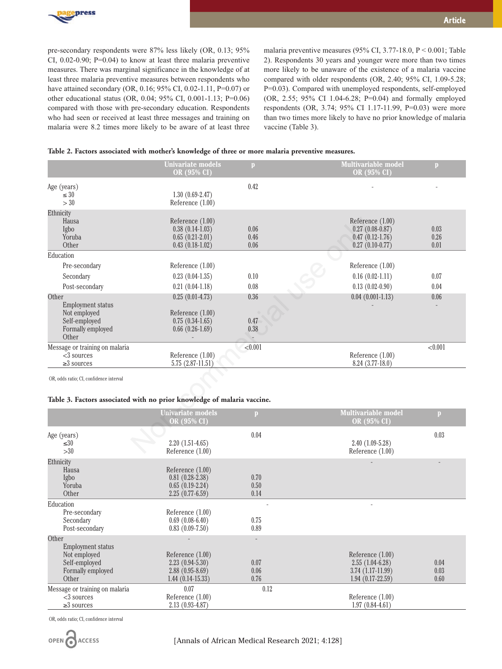malaria were 8.2 times more likely to be aware of at least three

malaria preventive measures (95% CI, 3.77-18.0, P < 0.001; Table 2). Respondents 30 years and younger were more than two times more likely to be unaware of the existence of a malaria vaccine compared with older respondents (OR, 2.40; 95% CI, 1.09-5.28; P=0.03). Compared with unemployed respondents, self-employed (OR, 2.55; 95% CI 1.04-6.28; P=0.04) and formally employed respondents (OR, 3.74; 95% CI 1.17-11.99, P=0.03) were more than two times more likely to have no prior knowledge of malaria vaccine (Table 3).

# **Table 2. Factors associated with mother's knowledge of three or more malaria preventive measures.**

|                                                                                                                    | <b>Univariate models</b><br>OR (95% CI)                                            | $\mathbf{D}$         | <b>Multivariable model</b><br>OR (95% CI)                                       | $\mathbf{p}$         |
|--------------------------------------------------------------------------------------------------------------------|------------------------------------------------------------------------------------|----------------------|---------------------------------------------------------------------------------|----------------------|
| Age (years)<br>$\leq 30$<br>> 30                                                                                   | $1.30(0.69-2.47)$<br>Reference (1.00)                                              | 0.42                 |                                                                                 |                      |
| Ethnicity<br>Hausa<br>Igbo<br>Yoruba<br>Other                                                                      | Reference (1.00)<br>$0.38(0.14-1.03)$<br>$0.65(0.21-2.01)$<br>$0.43(0.18-1.02)$    | 0.06<br>0.46<br>0.06 | Reference (1.00)<br>$0.27(0.08-0.87)$<br>$0.47(0.12-1.76)$<br>$0.27(0.10-0.77)$ | 0.03<br>0.26<br>0.01 |
| Education<br>Pre-secondary<br>Secondary<br>Post-secondary                                                          | Reference (1.00)<br>$0.23(0.04-1.35)$<br>$0.21(0.04-1.18)$                         | 0.10<br>0.08         | Reference (1.00)<br>$0.16(0.02-1.11)$<br>$0.13(0.02-0.90)$                      | 0.07<br>0.04         |
| Other<br><b>Employment status</b><br>Not employed<br>Self-employed<br>Formally employed<br>Other                   | $0.25(0.01-4.73)$<br>Reference (1.00)<br>$0.75(0.34-1.65)$<br>$0.66$ $(0.26-1.69)$ | 0.36<br>0.47<br>0.38 | $0.04(0.001-1.13)$                                                              | 0.06                 |
| Message or training on malaria<br>$<$ 3 sources<br>${\geq}3$ sources                                               | Reference (1.00)<br>$5.75(2.87-11.51)$                                             | < 0.001              | Reference (1.00)<br>$8.24(3.77-18.0)$                                           | < 0.001              |
| OR, odds ratio; CI, confidence interval<br>Table 3. Factors associated with no prior knowledge of malaria vaccine. |                                                                                    |                      |                                                                                 |                      |
|                                                                                                                    | <b>Univariate models</b><br>OR (95% CI)                                            | $\mathbf{p}$         | <b>Multivariable model</b><br><b>OR (95% CI)</b>                                | $\mathbf{p}$         |
| Age (years)<br>$\leq 30$<br>>30                                                                                    | $2.20(1.51-4.65)$<br>Reference (1.00)                                              | 0.04                 | $2.40(1.09-5.28)$<br>Reference (1.00)                                           | 0.03                 |

# **Table 3. Factors associated with no prior knowledge of malaria vaccine.**

|                                                                                                  | <b>Univariate models</b><br>OR (95% CI)                                            | p                    | <b>Multivariable model</b><br>OR (95% CI)                                         | $\mathbf{p}$         |
|--------------------------------------------------------------------------------------------------|------------------------------------------------------------------------------------|----------------------|-----------------------------------------------------------------------------------|----------------------|
| Age (years)<br>$\leq 30$<br>>30                                                                  | $2.20(1.51-4.65)$<br>Reference (1.00)                                              | 0.04                 | $2.40(1.09-5.28)$<br>Reference (1.00)                                             | 0.03                 |
| Ethnicity<br>Hausa<br>Igbo<br>Yoruba<br>Other                                                    | Reference (1.00)<br>$0.81(0.28-2.38)$<br>$0.65(0.19-2.24)$<br>$2.25(0.77-6.59)$    | 0.70<br>0.50<br>0.14 |                                                                                   |                      |
| Education<br>Pre-secondary<br>Secondary<br>Post-secondary                                        | Reference (1.00)<br>$0.69(0.08-6.40)$<br>$0.83(0.09-7.50)$                         | 0.75<br>0.89         |                                                                                   |                      |
| Other<br><b>Employment status</b><br>Not employed<br>Self-employed<br>Formally employed<br>Other | Reference $(1.00)$<br>$2.23(0.94-5.30)$<br>$2.88(0.95-8.69)$<br>$1.44(0.14-15.33)$ | 0.07<br>0.06<br>0.76 | Reference (1.00)<br>$2.55(1.04-6.28)$<br>$3.74(1.17-11.99)$<br>$1.94(0.17-22.59)$ | 0.04<br>0.03<br>0.60 |
| Message or training on malaria<br>$<$ 3 sources<br>$\geq$ sources                                | 0.07<br>Reference $(1.00)$<br>$2.13(0.93-4.87)$                                    | 0.12                 | Reference (1.00)<br>$1.97(0.84-4.61)$                                             |                      |

OR, odds ratio; CI, confidence interval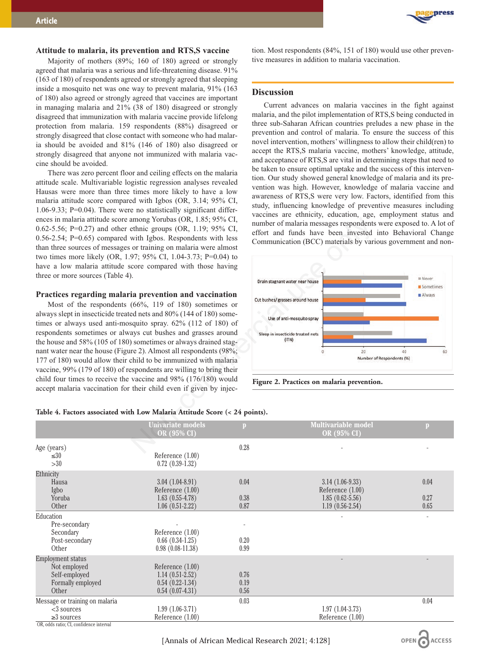# **Attitude to malaria, its prevention and RTS,S vaccine**

Majority of mothers (89%; 160 of 180) agreed or strongly agreed that malaria was a serious and life-threatening disease. 91% (163 of 180) of respondents agreed or strongly agreed that sleeping inside a mosquito net was one way to prevent malaria, 91% (163 of 180) also agreed or strongly agreed that vaccines are important in managing malaria and 21% (38 of 180) disagreed or strongly disagreed that immunization with malaria vaccine provide lifelong protection from malaria. 159 respondents (88%) disagreed or strongly disagreed that close contact with someone who had malaria should be avoided and 81% (146 of 180) also disagreed or strongly disagreed that anyone not immunized with malaria vaccine should be avoided.

There was zero percent floor and ceiling effects on the malaria attitude scale. Multivariable logistic regression analyses revealed Hausas were more than three times more likely to have a low malaria attitude score compared with Igbos (OR, 3.14; 95% CI, 1.06-9.33; P=0.04). There were no statistically significant differences in malaria attitude score among Yorubas (OR, 1.85; 95% CI, 0.62-5.56; P=0.27) and other ethnic groups (OR, 1.19; 95% CI, 0.56-2.54; P=0.65) compared with Igbos. Respondents with less than three sources of messages or training on malaria were almost two times more likely (OR, 1.97; 95% CI, 1.04-3.73; P=0.04) to have a low malaria attitude score compared with those having three or more sources (Table 4).

# **Practices regarding malaria prevention and vaccination**

Most of the respondents (66%, 119 of 180) sometimes or always slept in insecticide treated nets and 80% (144 of 180) sometimes or always used anti-mosquito spray. 62% (112 of 180) of respondents sometimes or always cut bushes and grasses around the house and 58% (105 of 180) sometimes or always drained stagnant water near the house (Figure 2). Almost all respondents (98%; 177 of 180) would allow their child to be immunized with malaria vaccine, 99% (179 of 180) of respondents are willing to bring their child four times to receive the vaccine and 98% (176/180) would accept malaria vaccination for their child even if given by injec-



**ACCESS** 

tion. Most respondents (84%, 151 of 180) would use other preventive measures in addition to malaria vaccination.

## **Discussion**

Current advances on malaria vaccines in the fight against malaria, and the pilot implementation of RTS,S being conducted in three sub-Saharan African countries preludes a new phase in the prevention and control of malaria. To ensure the success of this novel intervention, mothers' willingness to allow their child(ren) to accept the RTS,S malaria vaccine, mothers' knowledge, attitude, and acceptance of RTS,S are vital in determining steps that need to be taken to ensure optimal uptake and the success of this intervention. Our study showed general knowledge of malaria and its prevention was high. However, knowledge of malaria vaccine and awareness of RTS,S were very low. Factors, identified from this study, influencing knowledge of preventive measures including vaccines are ethnicity, education, age, employment status and number of malaria messages respondents were exposed to. A lot of effort and funds have been invested into Behavioral Change Communication (BCC) materials by various government and non-





|                                                                                                              | <b>Univariate models</b><br>OR (95% CI)                                           | p                    | <b>Multivariable model</b><br>OR (95% CI)                                         | p                    |
|--------------------------------------------------------------------------------------------------------------|-----------------------------------------------------------------------------------|----------------------|-----------------------------------------------------------------------------------|----------------------|
| Age (years)<br>$\leq 30$<br>>30                                                                              | Reference $(1.00)$<br>$0.72(0.39-1.32)$                                           | 0.28                 |                                                                                   |                      |
| Ethnicity<br>Hausa<br>Igbo<br>Yoruba<br>Other                                                                | $3.04(1.04-8.91)$<br>Reference $(1.00)$<br>$1.63(0.55-4.78)$<br>$1.06(0.51-2.22)$ | 0.04<br>0.38<br>0.87 | $3.14(1.06-9.33)$<br>Reference (1.00)<br>$1.85(0.62 - 5.56)$<br>$1.19(0.56-2.54)$ | 0.04<br>0.27<br>0.65 |
| Education<br>Pre-secondary<br>Secondary<br>Post-secondary<br>Other                                           | Reference $(1.00)$<br>$0.66(0.34-1.25)$<br>$0.98(0.08-11.38)$                     | 0.20<br>0.99         |                                                                                   |                      |
| <b>Employment status</b><br>Not employed<br>Self-employed<br>Formally employed<br>Other                      | Reference $(1.00)$<br>$1.14(0.51-2.52)$<br>$0.54(0.22-1.34)$<br>$0.54(0.07-4.31)$ | 0.76<br>0.19<br>0.56 |                                                                                   |                      |
| Message or training on malaria<br>$<$ 3 sources<br>$\geq$ sources<br>OR, odds ratio; CI, confidence interval | $1.99(1.06-3.71)$<br>Reference (1.00)                                             | 0.03                 | $1.97(1.04-3.73)$<br>Reference (1.00)                                             | 0.04                 |

# **Table 4. Factors associated with Low Malaria Attitude Score (< 24 points).**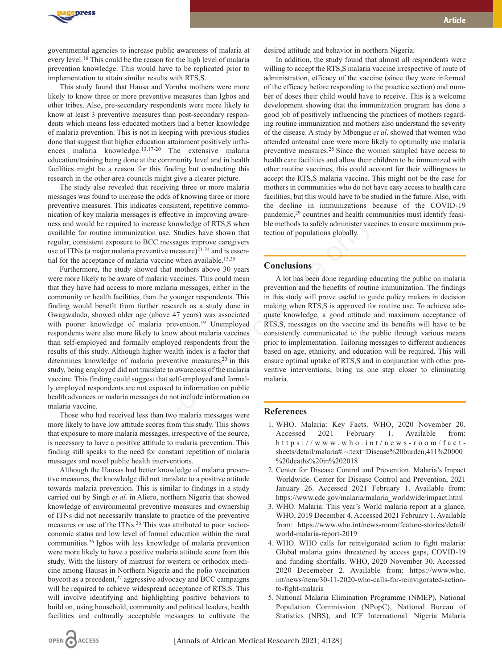

governmental agencies to increase public awareness of malaria at every level.16 This could be the reason for the high level of malaria prevention knowledge. This would have to be replicated prior to implementation to attain similar results with RTS,S.

This study found that Hausa and Yoruba mothers were more likely to know three or more preventive measures than Igbos and other tribes. Also, pre-secondary respondents were more likely to know at least 3 preventive measures than post-secondary respondents which means less educated mothers had a better knowledge of malaria prevention. This is not in keeping with previous studies done that suggest that higher education attainment positively influences malaria knowledge.13,17-20 The extensive malaria education/training being done at the community level and in health facilities might be a reason for this finding but conducting this research in the other area councils might give a clearer picture.

The study also revealed that receiving three or more malaria messages was found to increase the odds of knowing three or more preventive measures. This indicates consistent, repetitive communication of key malaria messages is effective in improving awareness and would be required to increase knowledge of RTS,S when available for routine immunization use. Studies have shown that regular, consistent exposure to BCC messages improve caregivers use of ITNs (a major malaria preventive measure)<sup>21-24</sup> and is essential for the acceptance of malaria vaccine when available.<sup>13,25</sup>

Furthermore, the study showed that mothers above 30 years were more likely to be aware of malaria vaccines. This could mean that they have had access to more malaria messages, either in the community or health facilities, than the younger respondents. This finding would benefit from further research as a study done in Gwagwalada, showed older age (above 47 years) was associated with poorer knowledge of malaria prevention.19 Unemployed respondents were also more likely to know about malaria vaccines than self-employed and formally employed respondents from the results of this study. Although higher wealth index is a factor that determines knowledge of malaria preventive measures, $20$  in this study, being employed did not translate to awareness of the malaria vaccine. This finding could suggest that self-employed and formally employed respondents are not exposed to information on public health advances or malaria messages do not include information on malaria vaccine. 16 to increase knowledge of RTS,S when<br>
to increase knowledge of RTS,S when<br>
the methods to safely administer vacuum<br>
inization use. Studies have shown that<br>
tection of populations globally.<br>
any showed that mothers above

Those who had received less than two malaria messages were more likely to have low attitude scores from this study. This shows that exposure to more malaria messages, irrespective of the source, is necessary to have a positive attitude to malaria prevention. This finding still speaks to the need for constant repetition of malaria messages and novel public health interventions.

Although the Hausas had better knowledge of malaria preventive measures, the knowledge did not translate to a positive attitude towards malaria prevention. This is similar to findings in a study carried out by Singh *et al.* in Aliero, northern Nigeria that showed knowledge of environmental preventive measures and ownership of ITNs did not necessarily translate to practice of the preventive measures or use of the ITNs.<sup>26</sup> This was attributed to poor socioeconomic status and low level of formal education within the rural communities.26 Igbos with less knowledge of malaria prevention were more likely to have a positive malaria attitude score from this study. With the history of mistrust for western or orthodox medicine among Hausas in Northern Nigeria and the polio vaccination boycott as a precedent,27 aggressive advocacy and BCC campaigns will be required to achieve widespread acceptance of RTS,S. This will involve identifying and highlighting positive behaviors to build on, using household, community and political leaders, health facilities and culturally acceptable messages to cultivate the

desired attitude and behavior in northern Nigeria.

In addition, the study found that almost all respondents were willing to accept the RTS, Smalaria vaccine irrespective of route of administration, efficacy of the vaccine (since they were informed of the efficacy before responding to the practice section) and number of doses their child would have to receive. This is a welcome development showing that the immunization program has done a good job of positively influencing the practices of mothers regarding routine immunization and mothers also understand the severity of the disease. A study by Mbengue *et al*. showed that women who attended antenatal care were more likely to optimally use malaria preventive measures.28 Since the women sampled have access to health care facilities and allow their children to be immunized with other routine vaccines, this could account for their willingness to accept the RTS,S malaria vaccine. This might not be the case for mothers in communities who do not have easy access to health care facilities, but this would have to be studied in the future. Also, with the decline in immunizations because of the COVID-19 pandemic,29 countries and health communities must identify feasible methods to safely administer vaccines to ensure maximum protection of populations globally.

# **Conclusions**

A lot has been done regarding educating the public on malaria prevention and the benefits of routine immunization. The findings in this study will prove useful to guide policy makers in decision making when RTS,S is approved for routine use. To achieve adequate knowledge, a good attitude and maximum acceptance of RTS,S, messages on the vaccine and its benefits will have to be consistently communicated to the public through various means prior to implementation. Tailoring messages to different audiences based on age, ethnicity, and education will be required. This will ensure optimal uptake of RTS,S and in conjunction with other preventive interventions, bring us one step closer to eliminating malaria.

# **References**

- 1. WHO. Malaria: Key Facts. WHO, 2020 November 20. Accessed 2021 February 1. Available from: h t t p s : //www.who.int/news-room/factsheets/detail/malaria#:~:text=Disease%20burden,411%20000 %20deaths%20in%202018
- 2. Center for Disease Control and Prevention. Malaria's Impact Worldwide. Center for Disease Control and Prevention, 2021 January 26. Accessed 2021 February 1. Available from: https://www.cdc.gov/malaria/malaria\_worldwide/impact.html
- 3. WHO. Malaria: This year's World malaria report at a glance. WHO, 2019 December 4. Accessed 2021 February 1. Available from: https://www.who.int/news-room/feature-stories/detail/ world-malaria-report-2019
- 4. WHO. WHO calls for reinvigorated action to fight malaria: Global malaria gains threatened by access gaps, COVID-19 and funding shortfalls. WHO, 2020 November 30. Accessed 2020 Decemeber 2. Available from: https://www.who. int/news/item/30-11-2020-who-calls-for-reinvigorated-actionto-fight-malaria
- 5. National Malaria Elimination Programme (NMEP), National Population Commission (NPopC), National Bureau of Statistics (NBS), and ICF International. Nigeria Malaria